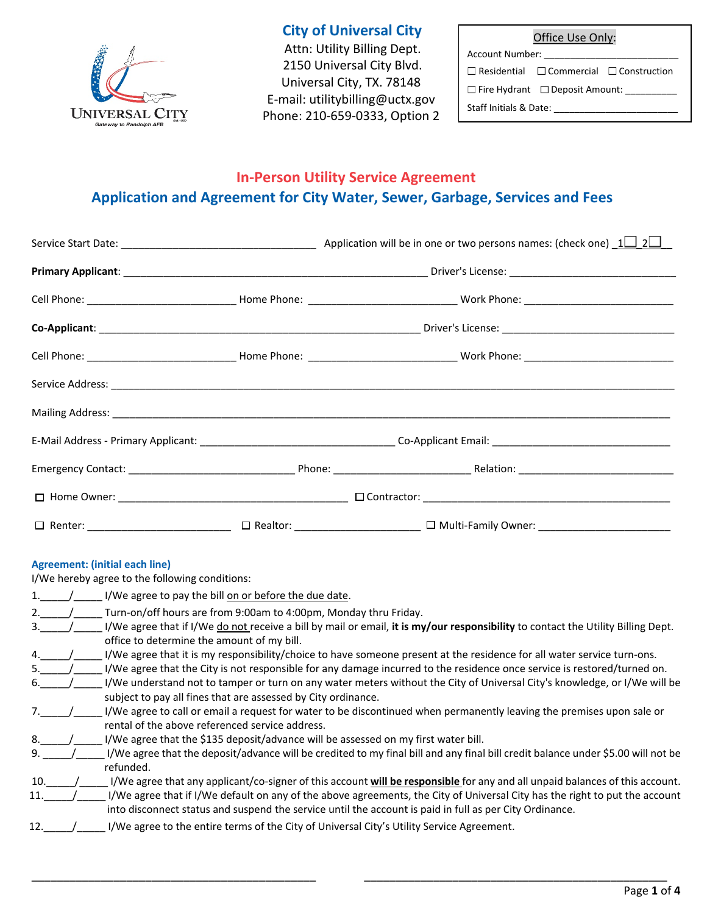

# **City of Universal City**

 Attn: Utility Billing Dept. 2150 Universal City Blvd. Universal City, TX. 78148 E-mail: [utilitybilling@uctx.gov](mailto:utilitybilling@uctx.gov) Phone: 210-659-0333, Option 2 Office Use Only:

Account Number:

 $\Box$ <br/>Residential  $\Box$ <br/> $\Box$ <br/> $\Box$ <<br/> $\Box$ 

 $\square$  Fire Hydrant  $\square$  Deposit Amount:

Staff Initials & Date: \_\_\_\_\_\_\_\_\_\_\_\_\_\_\_\_\_\_\_\_\_\_\_\_

# **In-Person Utility Service Agreement Application and Agreement for City Water, Sewer, Garbage, Services and Fees**

|                                                                                                                                                                                                                                |  | □ Renter: ____________________________ □ Realtor: ___________________ □ Multi-Family Owner: __________________ |  |
|--------------------------------------------------------------------------------------------------------------------------------------------------------------------------------------------------------------------------------|--|----------------------------------------------------------------------------------------------------------------|--|
| A manufacture of the first state of the set of the set of the set of the set of the set of the set of the set of the set of the set of the set of the set of the set of the set of the set of the set of the set of the set of |  |                                                                                                                |  |

### **Agreement: (initial each line)**

I/We hereby agree to the following conditions:

|                 | I/We agree to pay the bill on or before the due date.                                                                            |
|-----------------|----------------------------------------------------------------------------------------------------------------------------------|
| 2.              | Turn-on/off hours are from 9:00am to 4:00pm, Monday thru Friday.                                                                 |
| 3.              | I/We agree that if I/We do not receive a bill by mail or email, it is my/our responsibility to contact the Utility Billing Dept. |
|                 | office to determine the amount of my bill.                                                                                       |
|                 | I/We agree that it is my responsibility/choice to have someone present at the residence for all water service turn-ons.          |
|                 | I/We agree that the City is not responsible for any damage incurred to the residence once service is restored/turned on.         |
| 6.              | I/We understand not to tamper or turn on any water meters without the City of Universal City's knowledge, or I/We will be        |
|                 | subject to pay all fines that are assessed by City ordinance.                                                                    |
|                 | I/We agree to call or email a request for water to be discontinued when permanently leaving the premises upon sale or            |
|                 | rental of the above referenced service address.                                                                                  |
| 8.              | I/We agree that the \$135 deposit/advance will be assessed on my first water bill.                                               |
| 9.              | I/We agree that the deposit/advance will be credited to my final bill and any final bill credit balance under \$5.00 will not be |
|                 | refunded.                                                                                                                        |
| 10.             | I/We agree that any applicant/co-signer of this account will be responsible for any and all unpaid balances of this account.     |
| 11.             | I/We agree that if I/We default on any of the above agreements, the City of Universal City has the right to put the account      |
|                 | into disconnect status and suspend the service until the account is paid in full as per City Ordinance.                          |
| 12 <sub>1</sub> | I/We agree to the entire terms of the City of Universal City's Utility Service Agreement.                                        |
|                 |                                                                                                                                  |

\_\_\_\_\_\_\_\_\_\_\_\_\_\_\_\_\_\_\_\_\_\_\_\_\_\_\_\_\_\_\_\_\_\_\_\_\_\_\_\_\_\_\_\_\_ \_\_\_\_\_\_\_\_\_\_\_\_\_\_\_\_\_\_\_\_\_\_\_\_\_\_\_\_\_\_\_\_\_\_\_\_\_\_\_\_\_\_\_\_\_\_\_\_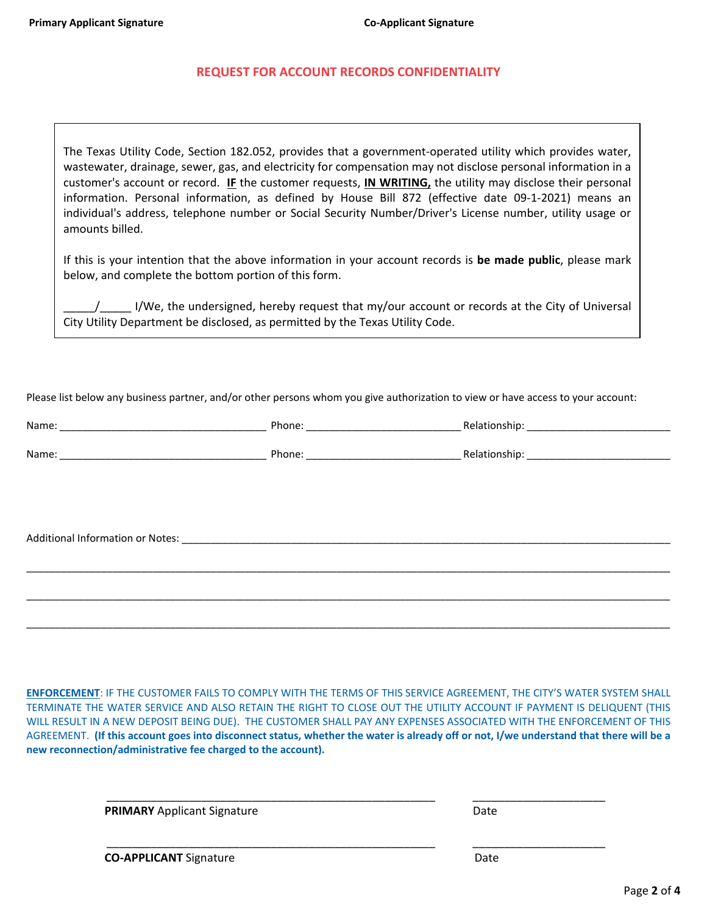#### **REQUEST FOR ACCOUNT RECORDS CONFIDENTIALITY**

The Texas Utility Code, Section 182.052, provides that a government-operated utility which provides water, wastewater, drainage, sewer, gas, and electricity for compensation may not disclose personal information in a customer's account or record. **IF** the customer requests, **IN WRITING,** the utility may disclose their personal information. Personal information, as defined by House Bill 872 (effective date 09-1-2021) means an individual's address, telephone number or Social Security Number/Driver's License number, utility usage or amounts billed.

If this is your intention that the above information in your account records is **be made public**, please mark below, and complete the bottom portion of this form.

\_\_\_\_\_/\_\_\_\_\_ I/We, the undersigned, hereby request that my/our account or records at the City of Universal City Utility Department be disclosed, as permitted by the Texas Utility Code.

Please list below any business partner, and/or other persons whom you give authorization to view or have access to your account:

| Name: | Phone: | <b>Relationship</b> |
|-------|--------|---------------------|
|       |        |                     |
| Name: | Phone: | Relationship.       |

\_\_\_\_\_\_\_\_\_\_\_\_\_\_\_\_\_\_\_\_\_\_\_\_\_\_\_\_\_\_\_\_\_\_\_\_\_\_\_\_\_\_\_\_\_\_\_\_\_\_\_\_\_\_\_\_\_\_\_\_\_\_\_\_\_\_\_\_\_\_\_\_\_\_\_\_\_\_\_\_\_\_\_\_\_\_\_\_\_\_\_\_\_\_\_\_\_\_\_\_\_\_\_\_\_\_\_\_\_\_\_\_

\_\_\_\_\_\_\_\_\_\_\_\_\_\_\_\_\_\_\_\_\_\_\_\_\_\_\_\_\_\_\_\_\_\_\_\_\_\_\_\_\_\_\_\_\_\_\_\_\_\_\_\_\_\_\_\_\_\_\_\_\_\_\_\_\_\_\_\_\_\_\_\_\_\_\_\_\_\_\_\_\_\_\_\_\_\_\_\_\_\_\_\_\_\_\_\_\_\_\_\_\_\_\_\_\_\_\_\_\_\_\_\_

\_\_\_\_\_\_\_\_\_\_\_\_\_\_\_\_\_\_\_\_\_\_\_\_\_\_\_\_\_\_\_\_\_\_\_\_\_\_\_\_\_\_\_\_\_\_\_\_\_\_\_\_\_\_\_\_\_\_\_\_\_\_\_\_\_\_\_\_\_\_\_\_\_\_\_\_\_\_\_\_\_\_\_\_\_\_\_\_\_\_\_\_\_\_\_\_\_\_\_\_\_\_\_\_\_\_\_\_\_\_\_\_

Additional Information or Notes: \_\_\_\_\_\_\_\_\_\_\_\_\_\_\_\_\_\_\_\_\_\_\_\_\_\_\_\_\_\_\_\_\_\_\_\_\_\_\_\_\_\_\_\_\_\_\_\_\_\_\_\_\_\_\_\_\_\_\_\_\_\_\_\_\_\_\_\_\_\_\_\_\_\_\_\_\_\_\_\_\_\_\_\_\_

**ENFORCEMENT**: IF THE CUSTOMER FAILS TO COMPLY WITH THE TERMS OF THIS SERVICE AGREEMENT, THE CITY'S WATER SYSTEM SHALL TERMINATE THE WATER SERVICE AND ALSO RETAIN THE RIGHT TO CLOSE OUT THE UTILITY ACCOUNT IF PAYMENT IS DELIQUENT (THIS WILL RESULT IN A NEW DEPOSIT BEING DUE). THE CUSTOMER SHALL PAY ANY EXPENSES ASSOCIATED WITH THE ENFORCEMENT OF THIS AGREEMENT. **(If this account goes into disconnect status, whether the water is already off or not, I/we understand that there will be a new reconnection/administrative fee charged to the account).**

\_\_\_\_\_\_\_\_\_\_\_\_\_\_\_\_\_\_\_\_\_\_\_\_\_\_\_\_\_\_\_\_\_\_\_\_\_\_\_\_\_\_\_\_\_\_\_\_\_\_\_\_ \_\_\_\_\_\_\_\_\_\_\_\_\_\_\_\_\_\_\_\_\_

\_\_\_\_\_\_\_\_\_\_\_\_\_\_\_\_\_\_\_\_\_\_\_\_\_\_\_\_\_\_\_\_\_\_\_\_\_\_\_\_\_\_\_\_\_\_\_\_\_\_\_\_ \_\_\_\_\_\_\_\_\_\_\_\_\_\_\_\_\_\_\_\_\_

**PRIMARY** Applicant Signature Date

**CO-APPLICANT** Signature **Date** Date Date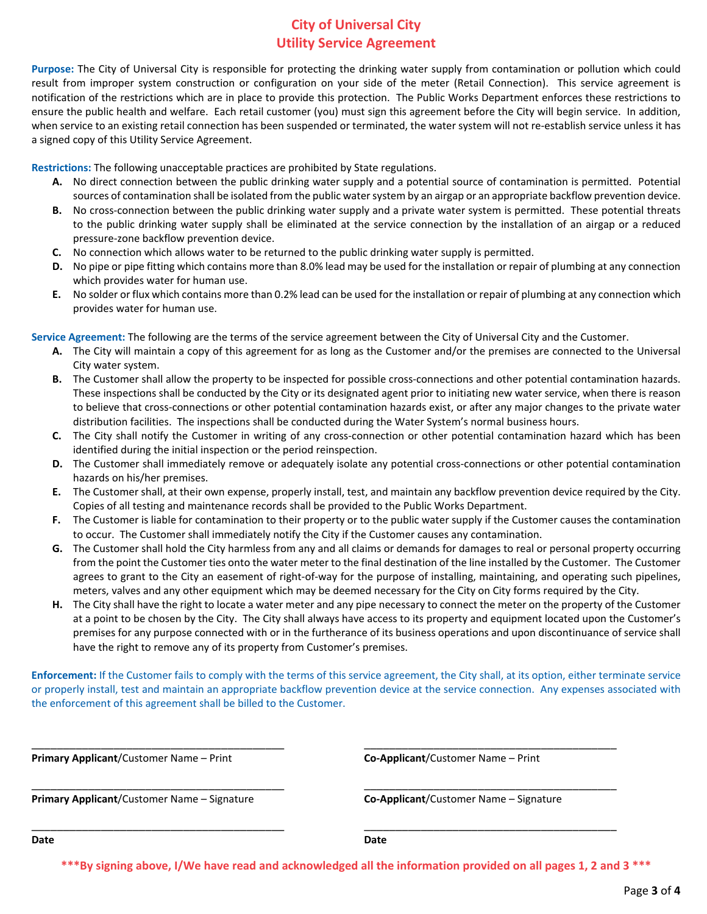## **City of Universal City Utility Service Agreement**

**Purpose:** The City of Universal City is responsible for protecting the drinking water supply from contamination or pollution which could result from improper system construction or configuration on your side of the meter (Retail Connection). This service agreement is notification of the restrictions which are in place to provide this protection. The Public Works Department enforces these restrictions to ensure the public health and welfare. Each retail customer (you) must sign this agreement before the City will begin service. In addition, when service to an existing retail connection has been suspended or terminated, the water system will not re-establish service unless it has a signed copy of this Utility Service Agreement.

**Restrictions:** The following unacceptable practices are prohibited by State regulations.

- **A.** No direct connection between the public drinking water supply and a potential source of contamination is permitted. Potential sources of contamination shall be isolated from the public water system by an airgap or an appropriate backflow prevention device.
- **B.** No cross-connection between the public drinking water supply and a private water system is permitted. These potential threats to the public drinking water supply shall be eliminated at the service connection by the installation of an airgap or a reduced pressure-zone backflow prevention device.
- **C.** No connection which allows water to be returned to the public drinking water supply is permitted.
- **D.** No pipe or pipe fitting which contains more than 8.0% lead may be used for the installation or repair of plumbing at any connection which provides water for human use.
- **E.** No solder or flux which contains more than 0.2% lead can be used for the installation or repair of plumbing at any connection which provides water for human use.

**Service Agreement:** The following are the terms of the service agreement between the City of Universal City and the Customer.

- **A.** The City will maintain a copy of this agreement for as long as the Customer and/or the premises are connected to the Universal City water system.
- **B.** The Customer shall allow the property to be inspected for possible cross-connections and other potential contamination hazards. These inspections shall be conducted by the City or its designated agent prior to initiating new water service, when there is reason to believe that cross-connections or other potential contamination hazards exist, or after any major changes to the private water distribution facilities. The inspections shall be conducted during the Water System's normal business hours.
- **C.** The City shall notify the Customer in writing of any cross-connection or other potential contamination hazard which has been identified during the initial inspection or the period reinspection.
- **D.** The Customer shall immediately remove or adequately isolate any potential cross-connections or other potential contamination hazards on his/her premises.
- **E.** The Customer shall, at their own expense, properly install, test, and maintain any backflow prevention device required by the City. Copies of all testing and maintenance records shall be provided to the Public Works Department.
- **F.** The Customer is liable for contamination to their property or to the public water supply if the Customer causes the contamination to occur. The Customer shall immediately notify the City if the Customer causes any contamination.
- **G.** The Customer shall hold the City harmless from any and all claims or demands for damages to real or personal property occurring from the point the Customer ties onto the water meter to the final destination of the line installed by the Customer. The Customer agrees to grant to the City an easement of right-of-way for the purpose of installing, maintaining, and operating such pipelines, meters, valves and any other equipment which may be deemed necessary for the City on City forms required by the City.
- **H.** The City shall have the right to locate a water meter and any pipe necessary to connect the meter on the property of the Customer at a point to be chosen by the City. The City shall always have access to its property and equipment located upon the Customer's premises for any purpose connected with or in the furtherance of its business operations and upon discontinuance of service shall have the right to remove any of its property from Customer's premises.

**Enforcement:** If the Customer fails to comply with the terms of this service agreement, the City shall, at its option, either terminate service or properly install, test and maintain an appropriate backflow prevention device at the service connection. Any expenses associated with the enforcement of this agreement shall be billed to the Customer.

\_\_\_\_\_\_\_\_\_\_\_\_\_\_\_\_\_\_\_\_\_\_\_\_\_\_\_\_\_\_\_\_\_\_\_\_\_\_\_\_ \_\_\_\_\_\_\_\_\_\_\_\_\_\_\_\_\_\_\_\_\_\_\_\_\_\_\_\_\_\_\_\_\_\_\_\_\_\_\_\_

\_\_\_\_\_\_\_\_\_\_\_\_\_\_\_\_\_\_\_\_\_\_\_\_\_\_\_\_\_\_\_\_\_\_\_\_\_\_\_\_ \_\_\_\_\_\_\_\_\_\_\_\_\_\_\_\_\_\_\_\_\_\_\_\_\_\_\_\_\_\_\_\_\_\_\_\_\_\_\_\_

\_\_\_\_\_\_\_\_\_\_\_\_\_\_\_\_\_\_\_\_\_\_\_\_\_\_\_\_\_\_\_\_\_\_\_\_\_\_\_\_ \_\_\_\_\_\_\_\_\_\_\_\_\_\_\_\_\_\_\_\_\_\_\_\_\_\_\_\_\_\_\_\_\_\_\_\_\_\_\_\_

**Primary Applicant**/Customer Name – Print **Co-Applicant**/Customer Name – Print

**Primary Applicant**/Customer Name – Signature **Co-Applicant**/Customer Name – Signature

**Date Date**

**\*\*\*By signing above, I/We have read and acknowledged all the information provided on all pages 1, 2 and 3 \*\*\***